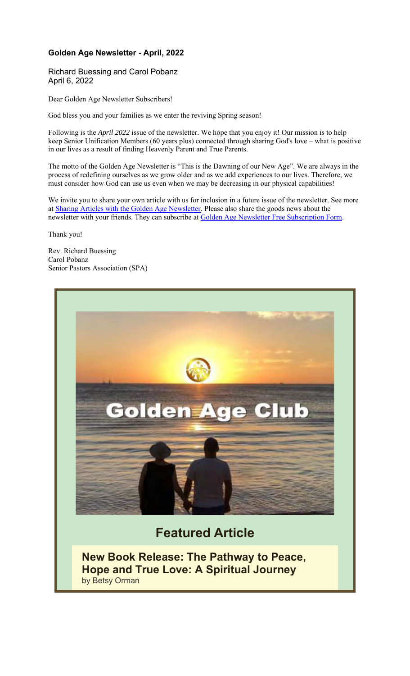#### **Golden Age Newsletter - April, 2022**

Richard Buessing and Carol Pobanz April 6, 2022

Dear Golden Age Newsletter Subscribers!

God bless you and your families as we enter the reviving Spring season!

Following is the *April 2022* issue of the newsletter. We hope that you enjoy it! Our mission is to help keep Senior Unification Members (60 years plus) connected through sharing God's love – what is positive in our lives as a result of finding Heavenly Parent and True Parents.

The motto of the Golden Age Newsletter is "This is the Dawning of our New Age". We are always in the process of redefining ourselves as we grow older and as we add experiences to our lives. Therefore, we must consider how God can use us even when we may be decreasing in our physical capabilities!

We invite you to share your own article with us for inclusion in a future issue of the newsletter. See more at Sharing Articles with the Golden Age Newsletter. Please also share the goods news about the newsletter with your friends. They can subscribe at Golden Age Newsletter Free Subscription Form.

Thank you!

Rev. Richard Buessing Carol Pobanz Senior Pastors Association (SPA)



**New Book Release: The Pathway to Peace, Hope and True Love: A Spiritual Journey** by Betsy Orman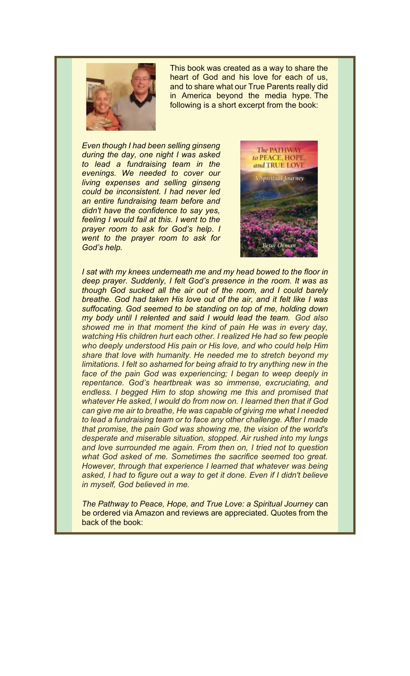

This book was created as a way to share the heart of God and his love for each of us, and to share what our True Parents really did in America beyond the media hype. The following is a short excerpt from the book:

*Even though I had been selling ginseng during the day, one night I was asked to lead a fundraising team in the evenings. We needed to cover our living expenses and selling ginseng could be inconsistent. I had never led an entire fundraising team before and didn't have the confidence to say yes, feeling I would fail at this. I went to the prayer room to ask for God's help*. *I went to the prayer room to ask for God's help.*



*I sat with my knees underneath me and my head bowed to the floor in deep prayer. Suddenly, I felt God's presence in the room. It was as though God sucked all the air out of the room, and I could barely breathe. God had taken His love out of the air, and it felt like I was suffocating. God seemed to be standing on top of me, holding down my body until I relented and said I would lead the team. God also showed me in that moment the kind of pain He was in every day, watching His children hurt each other. I realized He had so few people who deeply understood His pain or His love, and who could help Him share that love with humanity. He needed me to stretch beyond my limitations. I felt so ashamed for being afraid to try anything new in the*  face of the pain God was experiencing; I began to weep deeply in *repentance. God's heartbreak was so immense, excruciating, and endless. I begged Him to stop showing me this and promised that whatever He asked, I would do from now on. I learned then that if God can give me air to breathe, He was capable of giving me what I needed to lead a fundraising team or to face any other challenge. After I made that promise, the pain God was showing me, the vision of the world's desperate and miserable situation, stopped. Air rushed into my lungs and love surrounded me again. From then on, I tried not to question what God asked of me. Sometimes the sacrifice seemed too great. However, through that experience I learned that whatever was being asked, I had to figure out a way to get it done. Even if I didn't believe in myself, God believed in me.*

*The Pathway to Peace, Hope, and True Love: a Spiritual Journey can* be ordered via Amazon and reviews are appreciated. Quotes from the back of the book: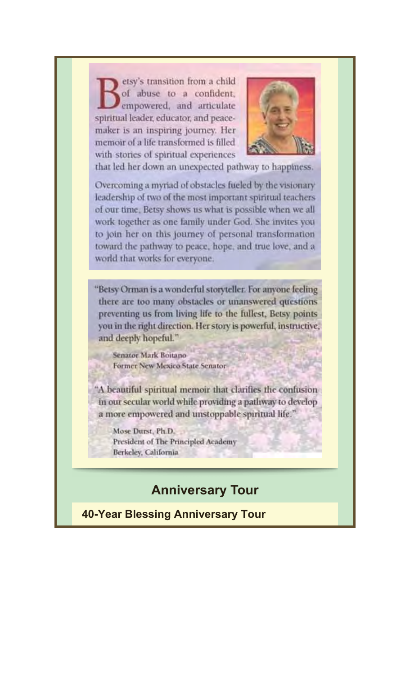etsy's transition from a child of abuse to a confident, empowered, and articulate spiritual leader, educator, and peacemaker is an inspiring journey. Her memoir of a life transformed is filled with stories of spiritual experiences



that led her down an unexpected pathway to happiness.

Overcoming a myriad of obstacles fueled by the visionary leadership of two of the most important spiritual teachers of our time. Betsy shows us what is possible when we all work together as one family under God. She invites you to join her on this journey of personal transformation toward the pathway to peace, hope, and true love, and a world that works for everyone.

"Betsy Orman is a wonderful storyteller. For anyone feeling there are too many obstacles or unanswered questions preventing us from living life to the fullest, Betsy points you in the right direction. Her story is powerful, instructive, and deeply hopeful."

Senator Mark Boitano Former New Mexico State Senator-

"A beautiful spiritual memoir that clarifies the confusion in our secular world while providing a pathway to develop a more empowered and unstoppable spiritual life."

Mose Durst, Ph.D. President of The Principled Academy Berkeley, California

## **Anniversary Tour**

**40-Year Blessing Anniversary Tour**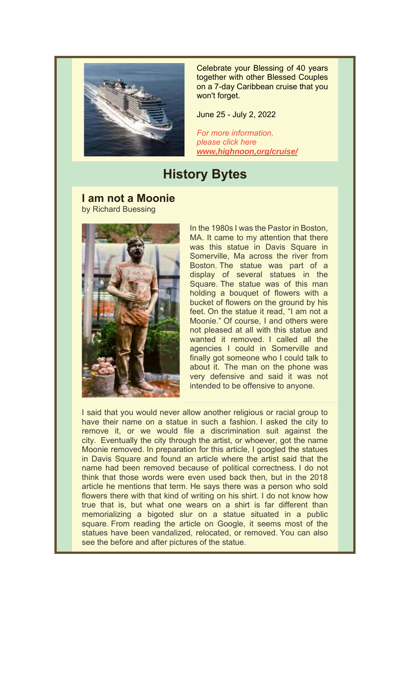

Celebrate your Blessing of 40 years together with other Blessed Couples on a 7-day Caribbean cruise that you won't forget.

June 25 - July 2, 2022

*For more information, please click here www,highnoon,org/cruise/*

## **History Bytes**

**I am not a Moonie** by Richard Buessing



In the 1980s I was the Pastor in Boston, MA. It came to my attention that there was this statue in Davis Square in Somerville, Ma across the river from Boston. The statue was part of a display of several statues in the Square. The statue was of this man holding a bouquet of flowers with a bucket of flowers on the ground by his feet. On the statue it read, "I am not a Moonie." Of course, I and others were not pleased at all with this statue and wanted it removed. I called all the agencies I could in Somerville and finally got someone who I could talk to about it. The man on the phone was very defensive and said it was not intended to be offensive to anyone.

I said that you would never allow another religious or racial group to have their name on a statue in such a fashion. I asked the city to remove it, or we would file a discrimination suit against the city. Eventually the city through the artist, or whoever, got the name Moonie removed. In preparation for this article, I googled the statues in Davis Square and found an article where the artist said that the name had been removed because of political correctness. I do not think that those words were even used back then, but in the 2018 article he mentions that term. He says there was a person who sold flowers there with that kind of writing on his shirt. I do not know how true that is, but what one wears on a shirt is far different than memorializing a bigoted slur on a statue situated in a public square. From reading the article on Google, it seems most of the statues have been vandalized, relocated, or removed. You can also see the before and after pictures of the statue.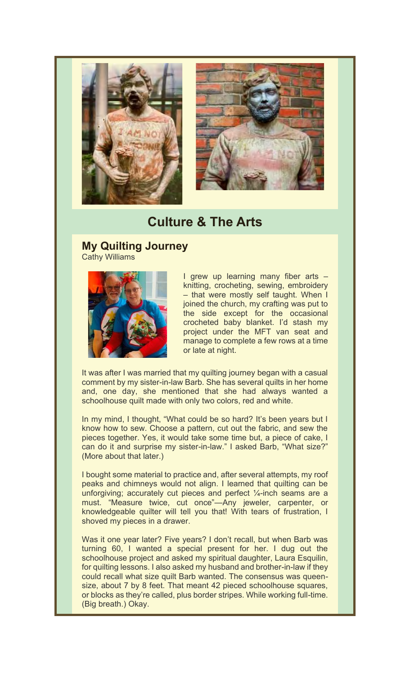

# **Culture & The Arts**

#### **My Quilting Journey** Cathy Williams



I grew up learning many fiber arts – knitting, crocheting, sewing, embroidery – that were mostly self taught. When I joined the church, my crafting was put to the side except for the occasional crocheted baby blanket. I'd stash my project under the MFT van seat and manage to complete a few rows at a time or late at night.

It was after I was married that my quilting journey began with a casual comment by my sister-in-law Barb. She has several quilts in her home and, one day, she mentioned that she had always wanted a schoolhouse quilt made with only two colors, red and white.

In my mind, I thought, "What could be so hard? It's been years but I know how to sew. Choose a pattern, cut out the fabric, and sew the pieces together. Yes, it would take some time but, a piece of cake, I can do it and surprise my sister-in-law." I asked Barb, "What size?" (More about that later.)

I bought some material to practice and, after several attempts, my roof peaks and chimneys would not align. I learned that quilting can be unforgiving; accurately cut pieces and perfect  $\frac{1}{4}$ -inch seams are a must. "Measure twice, cut once"—Any jeweler, carpenter, or knowledgeable quilter will tell you that! With tears of frustration, I shoved my pieces in a drawer.

Was it one year later? Five years? I don't recall, but when Barb was turning 60, I wanted a special present for her. I dug out the schoolhouse project and asked my spiritual daughter, Laura Esquilin, for quilting lessons. I also asked my husband and brother-in-law if they could recall what size quilt Barb wanted. The consensus was queensize, about 7 by 8 feet. That meant 42 pieced schoolhouse squares, or blocks as they're called, plus border stripes. While working full-time. (Big breath.) Okay.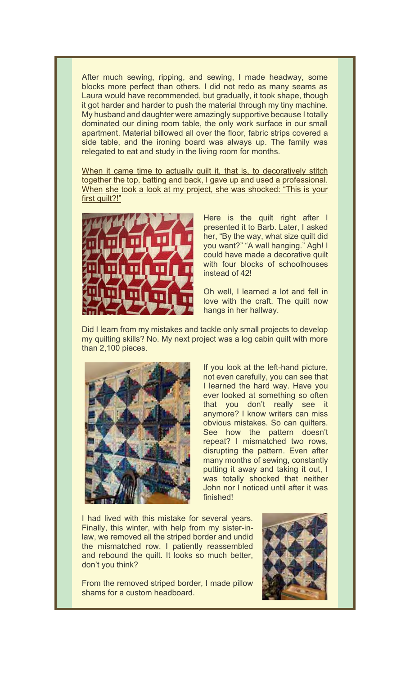After much sewing, ripping, and sewing, I made headway, some blocks more perfect than others. I did not redo as many seams as Laura would have recommended, but gradually, it took shape, though it got harder and harder to push the material through my tiny machine. My husband and daughter were amazingly supportive because I totally dominated our dining room table, the only work surface in our small apartment. Material billowed all over the floor, fabric strips covered a side table, and the ironing board was always up. The family was relegated to eat and study in the living room for months.

When it came time to actually quilt it, that is, to decoratively stitch together the top, batting and back, I gave up and used a professional. When she took a look at my project, she was shocked: "This is your first quilt?!"



Here is the quilt right after I presented it to Barb. Later, I asked her, "By the way, what size quilt did you want?" "A wall hanging." Agh! I could have made a decorative quilt with four blocks of schoolhouses instead of 42!

Oh well, I learned a lot and fell in love with the craft. The quilt now hangs in her hallway.

Did I learn from my mistakes and tackle only small projects to develop my quilting skills? No. My next project was a log cabin quilt with more than 2,100 pieces.



If you look at the left-hand picture, not even carefully, you can see that I learned the hard way. Have you ever looked at something so often that you don't really see it anymore? I know writers can miss obvious mistakes. So can quilters. See how the pattern doesn't repeat? I mismatched two rows, disrupting the pattern. Even after many months of sewing, constantly putting it away and taking it out, I was totally shocked that neither John nor I noticed until after it was finished!

I had lived with this mistake for several years. Finally, this winter, with help from my sister-inlaw, we removed all the striped border and undid the mismatched row. I patiently reassembled and rebound the quilt. It looks so much better, don't you think?

From the removed striped border, I made pillow shams for a custom headboard.

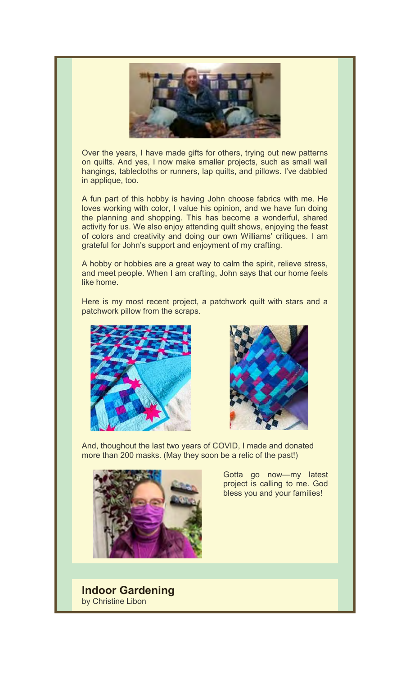

Over the years, I have made gifts for others, trying out new patterns on quilts. And yes, I now make smaller projects, such as small wall hangings, tablecloths or runners, lap quilts, and pillows. I've dabbled in applique, too.

A fun part of this hobby is having John choose fabrics with me. He loves working with color, I value his opinion, and we have fun doing the planning and shopping. This has become a wonderful, shared activity for us. We also enjoy attending quilt shows, enjoying the feast of colors and creativity and doing our own Williams' critiques. I am grateful for John's support and enjoyment of my crafting.

A hobby or hobbies are a great way to calm the spirit, relieve stress, and meet people. When I am crafting, John says that our home feels like home.

Here is my most recent project, a patchwork quilt with stars and a patchwork pillow from the scraps.





And, thoughout the last two years of COVID, I made and donated more than 200 masks. (May they soon be a relic of the past!)



Gotta go now—my latest project is calling to me. God bless you and your families!

**Indoor Gardening** by Christine Libon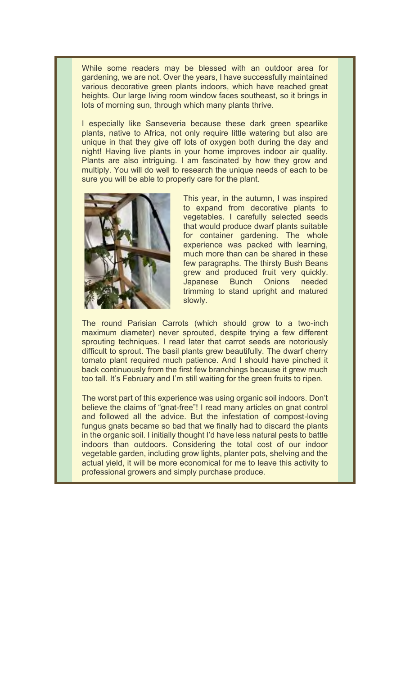While some readers may be blessed with an outdoor area for gardening, we are not. Over the years, I have successfully maintained various decorative green plants indoors, which have reached great heights. Our large living room window faces southeast, so it brings in lots of morning sun, through which many plants thrive.

I especially like Sanseveria because these dark green spearlike plants, native to Africa, not only require little watering but also are unique in that they give off lots of oxygen both during the day and night! Having live plants in your home improves indoor air quality. Plants are also intriguing. I am fascinated by how they grow and multiply. You will do well to research the unique needs of each to be sure you will be able to properly care for the plant.



This year, in the autumn, I was inspired to expand from decorative plants to vegetables. I carefully selected seeds that would produce dwarf plants suitable for container gardening. The whole experience was packed with learning, much more than can be shared in these few paragraphs. The thirsty Bush Beans grew and produced fruit very quickly. Japanese Bunch Onions needed trimming to stand upright and matured slowly.

The round Parisian Carrots (which should grow to a two-inch maximum diameter) never sprouted, despite trying a few different sprouting techniques. I read later that carrot seeds are notoriously difficult to sprout. The basil plants grew beautifully. The dwarf cherry tomato plant required much patience. And I should have pinched it back continuously from the first few branchings because it grew much too tall. It's February and I'm still waiting for the green fruits to ripen.

The worst part of this experience was using organic soil indoors. Don't believe the claims of "gnat-free"! I read many articles on gnat control and followed all the advice. But the infestation of compost-loving fungus gnats became so bad that we finally had to discard the plants in the organic soil. I initially thought I'd have less natural pests to battle indoors than outdoors. Considering the total cost of our indoor vegetable garden, including grow lights, planter pots, shelving and the actual yield, it will be more economical for me to leave this activity to professional growers and simply purchase produce.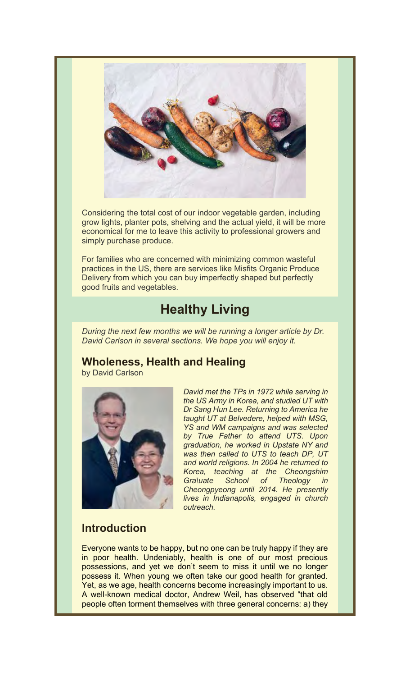

Considering the total cost of our indoor vegetable garden, including grow lights, planter pots, shelving and the actual yield, it will be more economical for me to leave this activity to professional growers and simply purchase produce.

For families who are concerned with minimizing common wasteful practices in the US, there are services like Misfits Organic Produce Delivery from which you can buy imperfectly shaped but perfectly good fruits and vegetables.

# **Healthy Living**

*During the next few months we will be running a longer article by Dr. David Carlson in several sections. We hope you will enjoy it.*

## **Wholeness, Health and Healing**

by David Carlson



*David met the TPs in 1972 while serving in the US Army in Korea, and studied UT with Dr Sang Hun Lee. Returning to America he taught UT at Belvedere, helped with MSG, YS and WM campaigns and was selected by True Father to attend UTS. Upon graduation, he worked in Upstate NY and was then called to UTS to teach DP, UT and world religions. In 2004 he returned to Korea, teaching at the Cheongshim Gra\uate School of Theology in Cheongpyeong until 2014. He presently lives in Indianapolis, engaged in church outreach.*

### **Introduction**

Everyone wants to be happy, but no one can be truly happy if they are in poor health. Undeniably, health is one of our most precious possessions, and yet we don't seem to miss it until we no longer possess it. When young we often take our good health for granted. Yet, as we age, health concerns become increasingly important to us. A well-known medical doctor, Andrew Weil, has observed "that old people often torment themselves with three general concerns: a) they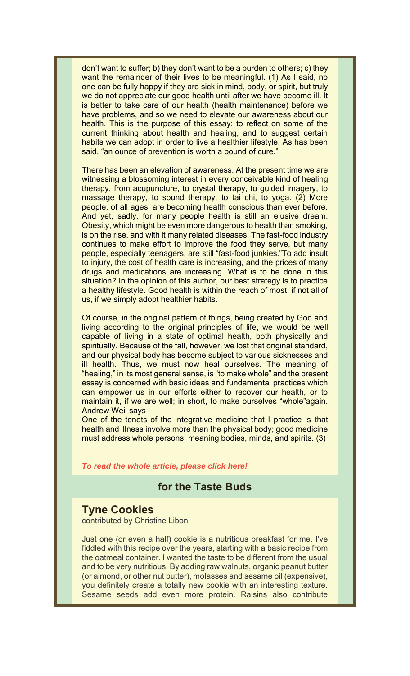don't want to suffer; b) they don't want to be a burden to others; c) they want the remainder of their lives to be meaningful. (1) As I said, no one can be fully happy if they are sick in mind, body, or spirit, but truly we do not appreciate our good health until after we have become ill. It is better to take care of our health (health maintenance) before we have problems, and so we need to elevate our awareness about our health. This is the purpose of this essay: to reflect on some of the current thinking about health and healing, and to suggest certain habits we can adopt in order to live a healthier lifestyle. As has been said, "an ounce of prevention is worth a pound of cure."

There has been an elevation of awareness. At the present time we are witnessing a blossoming interest in every conceivable kind of healing therapy, from acupuncture, to crystal therapy, to guided imagery, to massage therapy, to sound therapy, to tai chi, to yoga. (2) More people, of all ages, are becoming health conscious than ever before. And yet, sadly, for many people health is still an elusive dream. Obesity, which might be even more dangerous to health than smoking, is on the rise, and with it many related diseases. The fast-food industry continues to make effort to improve the food they serve, but many people, especially teenagers, are still "fast-food junkies."To add insult to injury, the cost of health care is increasing, and the prices of many drugs and medications are increasing. What is to be done in this situation? In the opinion of this author, our best strategy is to practice a healthy lifestyle. Good health is within the reach of most, if not all of us, if we simply adopt healthier habits.

Of course, in the original pattern of things, being created by God and living according to the original principles of life, we would be well capable of living in a state of optimal health, both physically and spiritually. Because of the fall, however, we lost that original standard, and our physical body has become subject to various sicknesses and ill health. Thus, we must now heal ourselves. The meaning of "healing," in its most general sense, is "to make whole" and the present essay is concerned with basic ideas and fundamental practices which can empower us in our efforts either to recover our health, or to maintain it, if we are well; in short, to make ourselves "whole"again. Andrew Weil says

One of the tenets of the integrative medicine that I practice is that health and illness involve more than the physical body; good medicine must address whole persons, meaning bodies, minds, and spirits. (3)

*To read the whole article, please click here!*

### **for the Taste Buds**

### **Tyne Cookies**

contributed by Christine Libon

Just one (or even a half) cookie is a nutritious breakfast for me. I've fiddled with this recipe over the years, starting with a basic recipe from the oatmeal container. I wanted the taste to be different from the usual and to be very nutritious. By adding raw walnuts, organic peanut butter (or almond, or other nut butter), molasses and sesame oil (expensive), you definitely create a totally new cookie with an interesting texture. Sesame seeds add even more protein. Raisins also contribute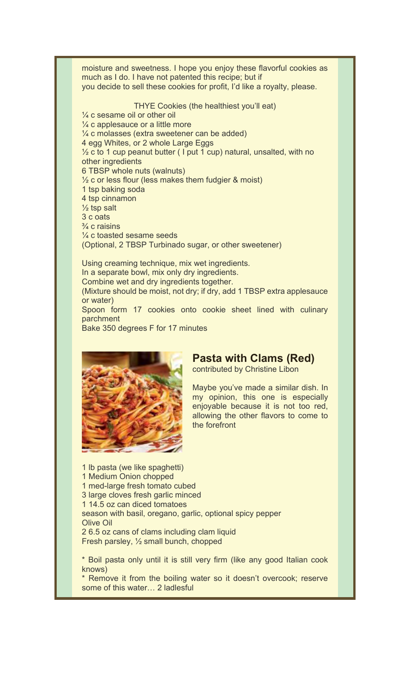moisture and sweetness. I hope you enjoy these flavorful cookies as much as I do. I have not patented this recipe; but if you decide to sell these cookies for profit, I'd like a royalty, please.

THYE Cookies (the healthiest you'll eat)

¼ c sesame oil or other oil  $\frac{1}{4}$  c applesauce or a little more ¼ c molasses (extra sweetener can be added) 4 egg Whites, or 2 whole Large Eggs  $\frac{1}{2}$  c to 1 cup peanut butter ( I put 1 cup) natural, unsalted, with no other ingredients 6 TBSP whole nuts (walnuts)  $\frac{1}{2}$  c or less flour (less makes them fudgier & moist) 1 tsp baking soda 4 tsp cinnamon  $\frac{1}{2}$  tsp salt 3 c oats  $\frac{3}{4}$  c raisins ¼ c toasted sesame seeds (Optional, 2 TBSP Turbinado sugar, or other sweetener)

Using creaming technique, mix wet ingredients. In a separate bowl, mix only dry ingredients. Combine wet and dry ingredients together. (Mixture should be moist, not dry; if dry, add 1 TBSP extra applesauce or water) Spoon form 17 cookies onto cookie sheet lined with culinary parchment Bake 350 degrees F for 17 minutes



### **Pasta with Clams (Red)**

contributed by Christine Libon

Maybe you've made a similar dish. In my opinion, this one is especially enjoyable because it is not too red, allowing the other flavors to come to the forefront

1 lb pasta (we like spaghetti) 1 Medium Onion chopped 1 med-large fresh tomato cubed 3 large cloves fresh garlic minced 1 14.5 oz can diced tomatoes season with basil, oregano, garlic, optional spicy pepper Olive Oil 2 6.5 oz cans of clams including clam liquid Fresh parsley, ½ small bunch, chopped

\* Boil pasta only until it is still very firm (like any good Italian cook knows)

\* Remove it from the boiling water so it doesn't overcook; reserve some of this water… 2 ladlesful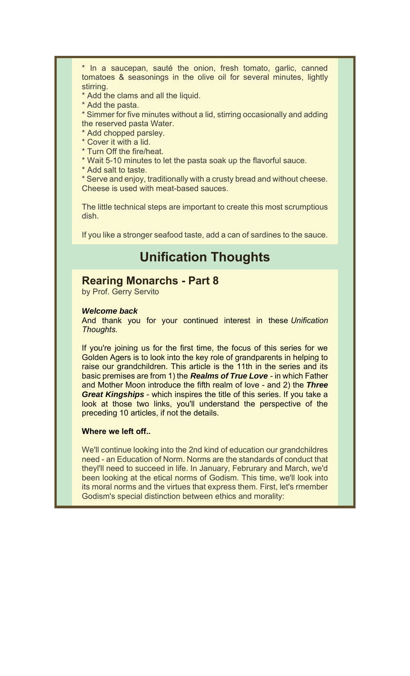\* In a saucepan, sauté the onion, fresh tomato, garlic, canned tomatoes & seasonings in the olive oil for several minutes, lightly stirring.

\* Add the clams and all the liquid.

\* Add the pasta.

\* Simmer for five minutes without a lid, stirring occasionally and adding the reserved pasta Water.

- \* Add chopped parsley.
- \* Cover it with a lid.
- \* Turn Off the fire/heat.
- \* Wait 5-10 minutes to let the pasta soak up the flavorful sauce.
- \* Add salt to taste.

\* Serve and enjoy, traditionally with a crusty bread and without cheese. Cheese is used with meat-based sauces.

The little technical steps are important to create this most scrumptious dish.

If you like a stronger seafood taste, add a can of sardines to the sauce.

# **Unification Thoughts**

#### **Rearing Monarchs - Part 8**

by Prof. Gerry Servito

#### *Welcome back*

And thank you for your continued interest in these *Unification Thoughts.*

If you're joining us for the first time, the focus of this series for we Golden Agers is to look into the key role of grandparents in helping to raise our grandchildren. This article is the 11th in the series and its basic premises are from 1) the *Realms of True Love* - in which Father and Mother Moon introduce the fifth realm of love - and 2) the *Three Great Kingships* - which inspires the title of this series. If you take a look at those two links, you'll understand the perspective of the preceding 10 articles, if not the details.

#### **Where we left off..**

We'll continue looking into the 2nd kind of education our grandchildres need - an Education of Norm. Norms are the standards of conduct that theyl'll need to succeed in life. In January, Februrary and March, we'd been looking at the etical norms of Godism. This time, we'll look into its moral norms and the virtues that express them. First, let's rmember Godism's special distinction between ethics and morality: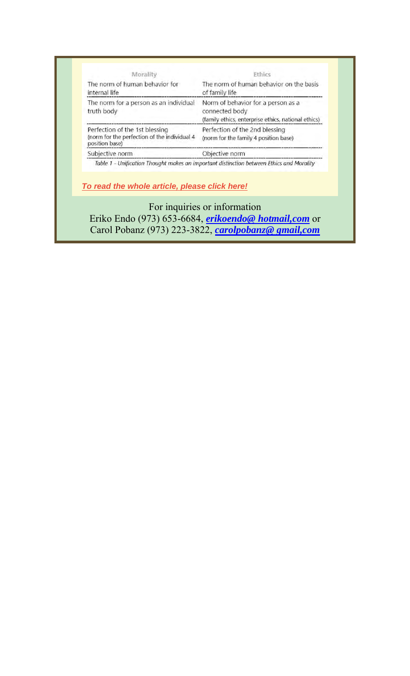| The norm of human behavior for<br>internal life                                                  | The norm of human behavior on the basis<br>of family life                                                   |
|--------------------------------------------------------------------------------------------------|-------------------------------------------------------------------------------------------------------------|
| The norm for a person as an individual<br>truth body                                             | Norm of behavior for a person as a<br>connected body<br>(family ethics, enterprise ethics, national ethics) |
| Perfection of the 1st blessing<br>(norm for the perfection of the individual 4<br>position base) | Perfection of the 2nd blessing<br>(norm for the family 4 position base)                                     |
| Subjective norm                                                                                  | Objective norm                                                                                              |
|                                                                                                  |                                                                                                             |
| To read the whole article, please click here!                                                    | Table 1 - Unification Thought makes an important distinction between Ethics and Morality                    |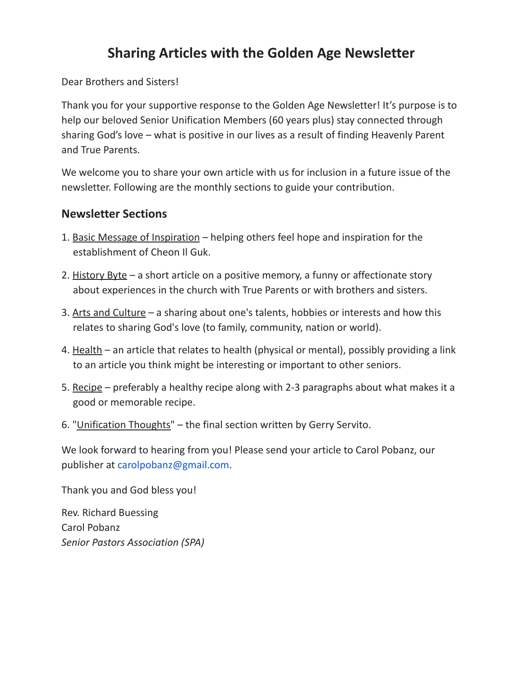## **Sharing Articles with the Golden Age Newsletter**

Dear Brothers and Sisters!

Thank you for your supportive response to the Golden Age Newsletter! It's purpose is to help our beloved Senior Unification Members (60 years plus) stay connected through sharing God's love – what is positive in our lives as a result of finding Heavenly Parent and True Parents.

We welcome you to share your own article with us for inclusion in a future issue of the newsletter. Following are the monthly sections to guide your contribution.

### **Newsletter Sections**

- 1. Basic Message of Inspiration helping others feel hope and inspiration for the establishment of Cheon Il Guk.
- 2. History Byte a short article on a positive memory, a funny or affectionate story about experiences in the church with True Parents or with brothers and sisters.
- 3. Arts and Culture a sharing about one's talents, hobbies or interests and how this relates to sharing God's love (to family, community, nation or world).
- 4. Health an article that relates to health (physical or mental), possibly providing a link to an article you think might be interesting or important to other seniors.
- 5. Recipe preferably a healthy recipe along with 2-3 paragraphs about what makes it a good or memorable recipe.
- 6. "Unification Thoughts" the final section written by Gerry Servito.

We look forward to hearing from you! Please send your article to Carol Pobanz, our publisher at carolpobanz@gmail.com.

Thank you and God bless you!

Rev. Richard Buessing Carol Pobanz *Senior Pastors Association (SPA)*